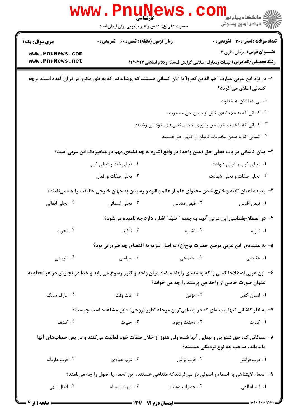|                                                                                                                                                                   | WWW.PIIUN<br>حضرت علی(ع): دانش راهبر نیکویی برای ایمان است |                                                                                 | ڪ دانشڪاه پيا <sub>م</sub> نور<br><mark>√</mark> مرڪز آزمون وسنڊش                                                     |  |  |
|-------------------------------------------------------------------------------------------------------------------------------------------------------------------|------------------------------------------------------------|---------------------------------------------------------------------------------|-----------------------------------------------------------------------------------------------------------------------|--|--|
| سری سوال: یک ۱                                                                                                                                                    | زمان آزمون (دقیقه) : تستی : 60 ٪ تشریحی : 0                |                                                                                 | <b>تعداد سوالات : تستی : 30 ٪ تشریحی : 0</b>                                                                          |  |  |
| www.PnuNews.com<br>www.PnuNews.net                                                                                                                                |                                                            |                                                                                 | <b>عنـــوان درس:</b> عرفان نظری ۲<br><b>رشته تحصیلی/گد درس:</b> الهیات ومعارف اسلامی گرایش فلسفه وکلام اسلامی ۱۲۲۰۲۲۳ |  |  |
| ا– در نزد ابن عربی عبارت ″هم الذین کفروا″یا آنان کسانی هستند که پوشاندند، که به طور مکرر در قرآن آمده است، برچه<br>کسانی اطلاق می گردد؟                           |                                                            |                                                                                 |                                                                                                                       |  |  |
|                                                                                                                                                                   |                                                            |                                                                                 | ٠١. بي اعتقادان به خداوند                                                                                             |  |  |
|                                                                                                                                                                   |                                                            |                                                                                 | ۰۲ کسانی که به ملاحظهی خلق از دیدن حق محجوبند                                                                         |  |  |
| ۰۳ کسانی که با غیبت خود حق را ورای حجاب نفسهای خود میپوشانند                                                                                                      |                                                            |                                                                                 |                                                                                                                       |  |  |
|                                                                                                                                                                   |                                                            |                                                                                 | ۰۴ کسانی که با دیدن مخلوقات ناتوان از اظهار حق هستند                                                                  |  |  |
| ۲–  بیان کاشانی در باب تجلی حق (عین واحد) در واقع اشاره به چه نکتهی مهم در متافیزیک ابن عربی است؟                                                                 |                                                            |                                                                                 |                                                                                                                       |  |  |
|                                                                                                                                                                   | ۰۲ تجلی ذات و تجلی غیب                                     |                                                                                 | ۰۱ تجلی غیب و تجلی شهادت                                                                                              |  |  |
|                                                                                                                                                                   | ۰۴ تجلی صفات و افعال                                       |                                                                                 | ۰۳ تجلی صفات و تجلی شهادت                                                                                             |  |  |
| ۳- پدیده اعیان ثابته و خارج شدن محتوای علم از عالم بالقوه و رسیدن به جهان خارجی حقیقت را چه میiامند؟                                                              |                                                            |                                                                                 |                                                                                                                       |  |  |
| ۰۴ تجلی افعالی                                                                                                                                                    | ۰۳ تجلی اسمائی                                             | ۰۲ فیض مقدس                                                                     | ٠١ فيض اقدس                                                                                                           |  |  |
|                                                                                                                                                                   |                                                            |                                                                                 | ۴– در اصطلاحشناسی ابن عربی آنچه به جنبه ″ تقیّد″ اشاره دارد چه نامیده میشود؟                                          |  |  |
| ۰۴ تجرید                                                                                                                                                          | ۰۳ تأکید                                                   | ۰۲ تشبیه                                                                        | ۰۱ تنزیه                                                                                                              |  |  |
|                                                                                                                                                                   |                                                            |                                                                                 | ۵– به عقیدهی ًابن عربی موضع حضرت نوح(ع) به اصل تنزیه به اقتضای چه ضرورتی بود؟                                         |  |  |
| ۰۴ تاریخی                                                                                                                                                         | ۰۳ سیاسی $\cdot$                                           | ۰۲ اجتماعی                                                                      | ۰۱ عقیدتی                                                                                                             |  |  |
| ۶– ابن عربی اصطلاحا کسی را که به معمای رابطه متضاد میان واحد و کثیر رسوخ می یابد و خدا در تجلیش در هر لحظه به<br>عنوان صورت خاصی از واحد می پرستد را چه می خواند؟ |                                                            |                                                                                 |                                                                                                                       |  |  |
| ۰۴ عارف سالک                                                                                                                                                      | ۰۳ عابد وقت                                                |                                                                                 | ۲. مؤمن<br>٠١ انسان كامل                                                                                              |  |  |
| ۷- به نظر کاشانی تنها پدیدهای که در ابتدایی ترین مرحله تطور (روحی) قابل مشاهده است چیست؟                                                                          |                                                            |                                                                                 |                                                                                                                       |  |  |
| ۰۴ کشف                                                                                                                                                            |                                                            | ۰۲ وحدت وجود استان ۲۰۰ حیرت و در استان به سازمان به این کار از این معامل کردند. | ۰۱ کثرت                                                                                                               |  |  |
| ۸– بندگانی که، حق شنوایی و بینایی آنها شده ولی هنوز از خلال صفات خود فعالیت میکنند و در پس حجابهای آنها<br>ماندهاند، صاحب چه نوع نزدیکی هستند؟                    |                                                            |                                                                                 |                                                                                                                       |  |  |
| ۰۴ قرب عارفانه                                                                                                                                                    | ۰۳ قرب عبادی                                               | ۰۲ قرب نوافل                                                                    | ٠١. قرب فرائض                                                                                                         |  |  |
| ۹- اسماء لایتناهی به اسماء و اصولی باز میگردندکه متناهی هستند، این اسماء یا اصول را چه مینامند؟                                                                   |                                                            |                                                                                 |                                                                                                                       |  |  |
| ۰۴ افعال الهي                                                                                                                                                     | ۰۳ امهات اسماء                                             | ۰۲ حضرات صفات                                                                   | ٠١. اسماء الهي                                                                                                        |  |  |
|                                                                                                                                                                   |                                                            |                                                                                 |                                                                                                                       |  |  |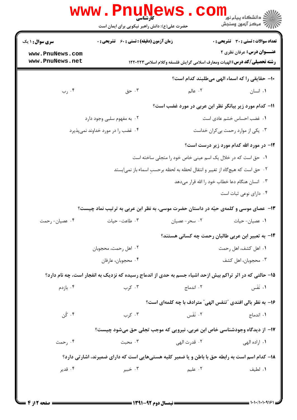|                                    | حضرت علی(ع): دانش راهبر نیکویی برای ایمان است                                                            |                                                                                 | دانشکاه پیام نور<br>ا∛ مرکز آزمون وسنجش      |  |  |
|------------------------------------|----------------------------------------------------------------------------------------------------------|---------------------------------------------------------------------------------|----------------------------------------------|--|--|
| <b>سری سوال :</b> ۱ یک             | <b>زمان آزمون (دقیقه) : تستی : 60 ٪ تشریحی : 0</b>                                                       |                                                                                 | <b>تعداد سوالات : تستی : 30 ٪ تشریحی : 0</b> |  |  |
| www.PnuNews.com<br>www.PnuNews.net |                                                                                                          | <b>رشته تحصیلی/کد درس:</b> الهیات ومعارف اسلامی گرایش فلسفه وکلام اسلامی۱۲۲۰۲۲۳ | <b>عنـــوان درس:</b> عرفان نظری ۲            |  |  |
|                                    | ١٠- حقايقى را كه اسماء الهى مىطلبند كدام است؟                                                            |                                                                                 |                                              |  |  |
| ۰۴ رب                              | ۰۳ حق                                                                                                    | ۲. عالم                                                                         | ۰۱ انسان                                     |  |  |
|                                    |                                                                                                          | 11– کدام مورد زیر بیانگر نظر ابن عربی در مورد غضب است؟                          |                                              |  |  |
|                                    | ۰۲ به مفهوم سلبی وجود دارد                                                                               |                                                                                 | ٠١. غضب احساس خشم عادی است                   |  |  |
|                                    | ۰۴ غضب را در مورد خداوند نمیپذیرد                                                                        |                                                                                 | ۰۳ یکی از موارد رحمت بی کران خداست           |  |  |
|                                    |                                                                                                          |                                                                                 | ۱۲- در مورد الله کدام مورد زیر درست است؟     |  |  |
|                                    |                                                                                                          | ۰۱ حق است که در خلال یک اسم عینی خاص خود را متجلی ساخته است                     |                                              |  |  |
|                                    |                                                                                                          | ۰۲ حق است که هیچگاه از تغییر و انتقال لحظه به لحظه برحسبِ اسماء باز نمی یستد    |                                              |  |  |
|                                    |                                                                                                          | ۰۳ انسان هنگام دعا خطاب خود را الله قرار میدهد                                  |                                              |  |  |
|                                    |                                                                                                          |                                                                                 | ۰۴ دارای نوعی ثبات است                       |  |  |
|                                    | ۱۳- عصای موسی و کلمهی حیّه در داستان حضرت موسی، به نظر ابن عربی به ترتیب نماد چیست؟                      |                                                                                 |                                              |  |  |
|                                    |                                                                                                          |                                                                                 |                                              |  |  |
| ۰۴ عصیان- رحمت                     | ۰۳ طاعت- حیات                                                                                            | ۰۲ سحر- عصیان                                                                   | ۰۱ عصیان- حیات                               |  |  |
|                                    |                                                                                                          | <b>۱۴</b> - به تعبیر ابن عربی طالبان رحمت چه کسانی هستند؟                       |                                              |  |  |
|                                    | ۰۲ اهل رحمت، محجوبان                                                                                     |                                                                                 | ۰۱ اهل کشف، اهل رحمت                         |  |  |
|                                    | ۰۴ محجوبان، عارفان                                                                                       |                                                                                 | ۰۳ محجوبان، اهل کشف                          |  |  |
|                                    | ۱۵- حالتی که در اثر تراکم بیش ازحد اشیاء جسم به حدی از اندماج رسیده که نزدیک به انفجار است، چه نام دارد؟ |                                                                                 |                                              |  |  |
| ۰۴ بازدم                           | ۰۳ کرب                                                                                                   | ۰۲ اندماج                                                                       | ۰۱ نَفَس                                     |  |  |
|                                    |                                                                                                          | ۱۶- به نظر بالی افندی "تنفس الهی" مترادف با چه کلمهای است؟                      |                                              |  |  |
| ۰۴ کُن                             | ۰۳ کړب                                                                                                   | ٢. نَفَس                                                                        | ٠١. اندماج                                   |  |  |
|                                    |                                                                                                          |                                                                                 |                                              |  |  |
| ۰۴ رحمت                            | ۱۷- از دیدگاه وجودشناسی خاص ابن عربی، نیرویی که موجب تجلی حق میشود چیست؟<br>۰۳ محبت                      | ٢. قدرت الهي                                                                    | ۰۱ اراده الهي                                |  |  |
|                                    | ۱۸- کدام اسم است به رابطه حق با باطن و یا ضمیر کلیه هستیهایی است که دارای ضمیرند، اشارتی دارد؟           |                                                                                 |                                              |  |  |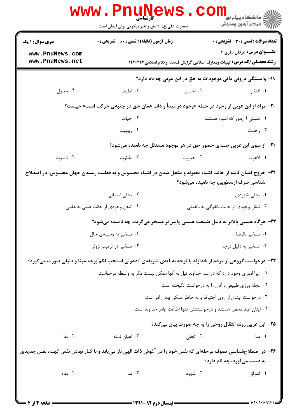|                                                                                                                                                   | www.PnuNews<br>حضرت علی(ع): دانش راهبر نیکویی برای ایمان است                                                |                                                                                     | ران دانشگاه پيام نور<br>الا =<br>الا = مرکز آزمون وسنجش |  |  |
|---------------------------------------------------------------------------------------------------------------------------------------------------|-------------------------------------------------------------------------------------------------------------|-------------------------------------------------------------------------------------|---------------------------------------------------------|--|--|
| <b>سری سوال : ۱ یک</b>                                                                                                                            | زمان آزمون (دقیقه) : تستی : 60 ٪ تشریحی : 0                                                                 |                                                                                     | <b>تعداد سوالات : تستی : 30 ٪ تشریحی : 0</b>            |  |  |
| www.PnuNews.com<br>www.PnuNews.net                                                                                                                |                                                                                                             | <b>رشته تحصیلی/کد درس:</b> الهیات ومعارف اسلامی گرایش فلسفه وکلام اسلامی ۱۲۲۰۲۲۳    | عنـــوان درس: عرفان نظري ٢                              |  |  |
|                                                                                                                                                   |                                                                                                             | ۱۹- وابستگی درونی ذاتی موجودات به حق در ابن عربی چه نام دارد؟                       |                                                         |  |  |
| ۰۴ معلول                                                                                                                                          | ۰۳ لطيف                                                                                                     | ۰۲ اختبار                                                                           | ۰۱ افتقار                                               |  |  |
| +۲- مراد از ابن عربی از وجود در جمله « <u>وجود</u> در مبدأ و ذات همان حق در جنبهی حرکت است» چیست؟                                                 |                                                                                                             |                                                                                     |                                                         |  |  |
|                                                                                                                                                   | ۰۲ حیات                                                                                                     |                                                                                     | ٠١ هستي آن طور كه اشياء هستند                           |  |  |
|                                                                                                                                                   | ۰۴ ربوبيت                                                                                                   |                                                                                     | ۰۳ رحمت                                                 |  |  |
|                                                                                                                                                   |                                                                                                             | <b>ا۲-</b> از سوی ابن عربی جنبهی حضور حق در هر موجود مستقل چه نامیده میشود؟         |                                                         |  |  |
| ۰۴ ناسوت                                                                                                                                          | ۰۳ ملکوت                                                                                                    | ۰۲ جبروت                                                                            | ۰۱ لاهوت                                                |  |  |
| ۲۲– خروج اعیان ثابته از حالت اشیاء معقوله و منحل شدن در اشیاء محسوس و به فعلیت رسیدن جهان محسوس، در اصطلاح<br>شناسی صرف ارسطویی، چه نامیده میشود؟ |                                                                                                             |                                                                                     |                                                         |  |  |
|                                                                                                                                                   | ۰۲ تجلی اسمائی                                                                                              |                                                                                     | ۰۱ تجلی شهودی                                           |  |  |
|                                                                                                                                                   | ۰۴ تنقل وجودی از حالت عینی به علمی                                                                          |                                                                                     | ۰۳ تنقل وجودي از حالت بالقوگي به بالفعلي                |  |  |
|                                                                                                                                                   | ۲۳- هرگاه هستی بالاتر به دلیل طبیعت هستی پایین تر مسخر میگردد، چه نامیده میشود؟                             |                                                                                     |                                                         |  |  |
|                                                                                                                                                   | ۰۲ تسخیر به وسیلهی حال                                                                                      |                                                                                     | ٠١ تسخير بالرضا                                         |  |  |
|                                                                                                                                                   | ۰۴ تسخیر در ترتیب نزولی                                                                                     |                                                                                     | ۰۳ تسخير به دليل درجه                                   |  |  |
|                                                                                                                                                   | ۲۴- درخواست گروهی از مردم از خداوند با توجه به آیهی شریفهی "ادعونی استجب لکم"برچه مبنا و دلیلی صورت میگیرد؟ |                                                                                     |                                                         |  |  |
|                                                                                                                                                   |                                                                                                             | ۰۱ زیرا اموری وجود دارد که در علم خداوند نیل به آنها ممکن نیست مگر به واسطه درخواست |                                                         |  |  |
|                                                                                                                                                   |                                                                                                             | ۰۲ عجله ورزي طبيعي ، آنان را به درخواست انگيخته است                                 |                                                         |  |  |
|                                                                                                                                                   |                                                                                                             | ۰۳ درخواست ایشان از روی احتیاط و به خاطر ممکن بودن امر است                          |                                                         |  |  |
|                                                                                                                                                   |                                                                                                             | ۰۴ اینان عبد محض هستند و درخواستشان تنها اطاعت اوامر خداوند است                     |                                                         |  |  |
|                                                                                                                                                   |                                                                                                             | ۲۵– ابن عربی روند انتقال روحی را به چه صورت بیان میکند؟                             |                                                         |  |  |
| ۰۴ بقا                                                                                                                                            | ۰۳ اعیان ثابته                                                                                              | ۰۲ تجلی                                                                             | ۰۱ فنا                                                  |  |  |
| ۲۶- در اصطلاحشناسی تصوف مرحلهای که نفس خود را در آغوش ذات الهی باز می یابد و با کنار نهادن نفس کهنه، نفس جدیدی                                    |                                                                                                             |                                                                                     | به دست می آورد، چه نام دارد؟                            |  |  |
| ۰۴ بقاء                                                                                                                                           | ۰۳ فنا                                                                                                      | ۰۲ شهود                                                                             | ۰۱ اشراق                                                |  |  |
| = صفحه 3 از 4                                                                                                                                     | <b>ـــــ نیمسال دوم ۹۲-۱۳۹۱ ـــــــــ</b>                                                                   |                                                                                     |                                                         |  |  |